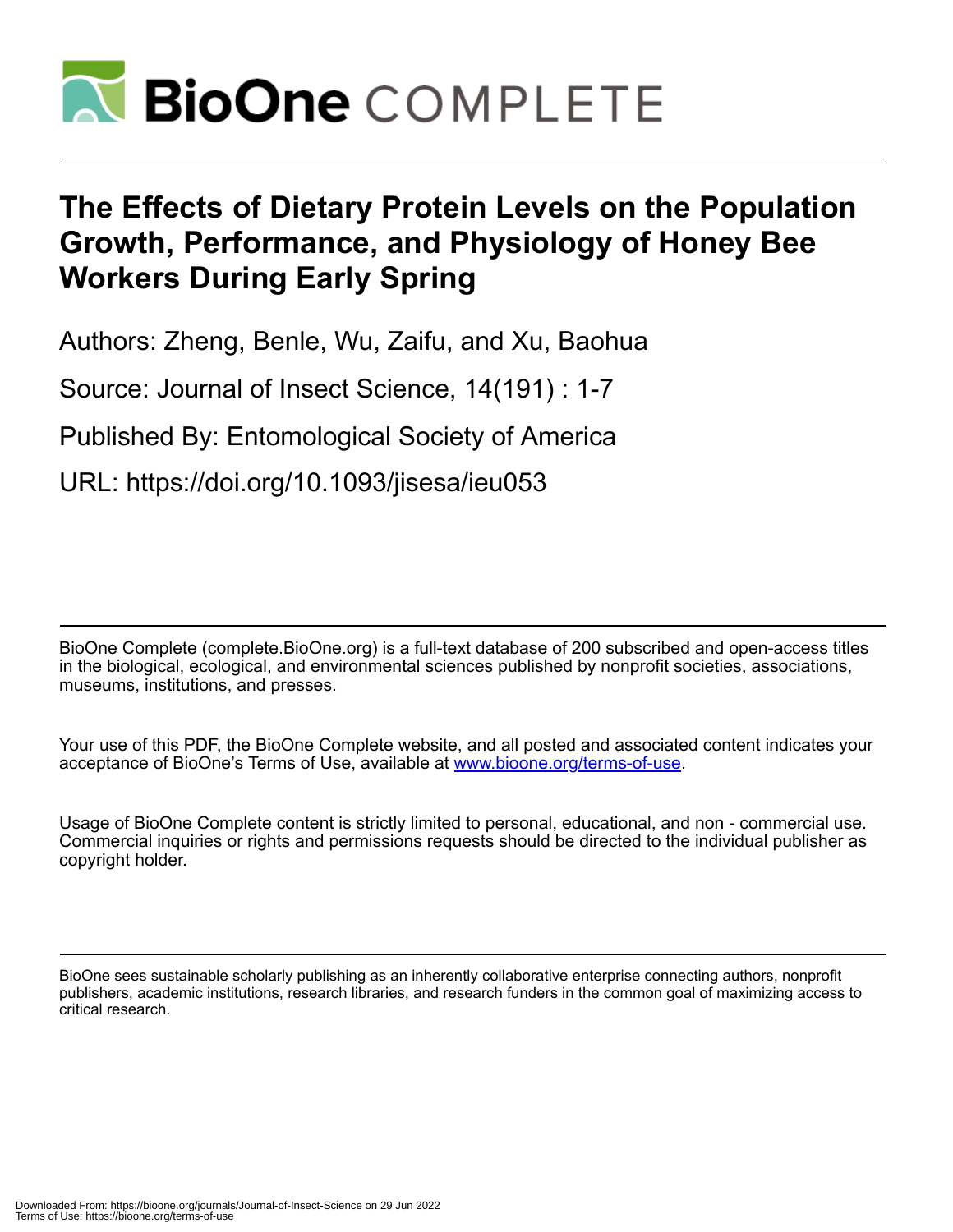

# **The Effects of Dietary Protein Levels on the Population Growth, Performance, and Physiology of Honey Bee Workers During Early Spring**

Authors: Zheng, Benle, Wu, Zaifu, and Xu, Baohua

Source: Journal of Insect Science, 14(191) : 1-7

Published By: Entomological Society of America

URL: https://doi.org/10.1093/jisesa/ieu053

BioOne Complete (complete.BioOne.org) is a full-text database of 200 subscribed and open-access titles in the biological, ecological, and environmental sciences published by nonprofit societies, associations, museums, institutions, and presses.

Your use of this PDF, the BioOne Complete website, and all posted and associated content indicates your acceptance of BioOne's Terms of Use, available at www.bioone.org/terms-of-use.

Usage of BioOne Complete content is strictly limited to personal, educational, and non - commercial use. Commercial inquiries or rights and permissions requests should be directed to the individual publisher as copyright holder.

BioOne sees sustainable scholarly publishing as an inherently collaborative enterprise connecting authors, nonprofit publishers, academic institutions, research libraries, and research funders in the common goal of maximizing access to critical research.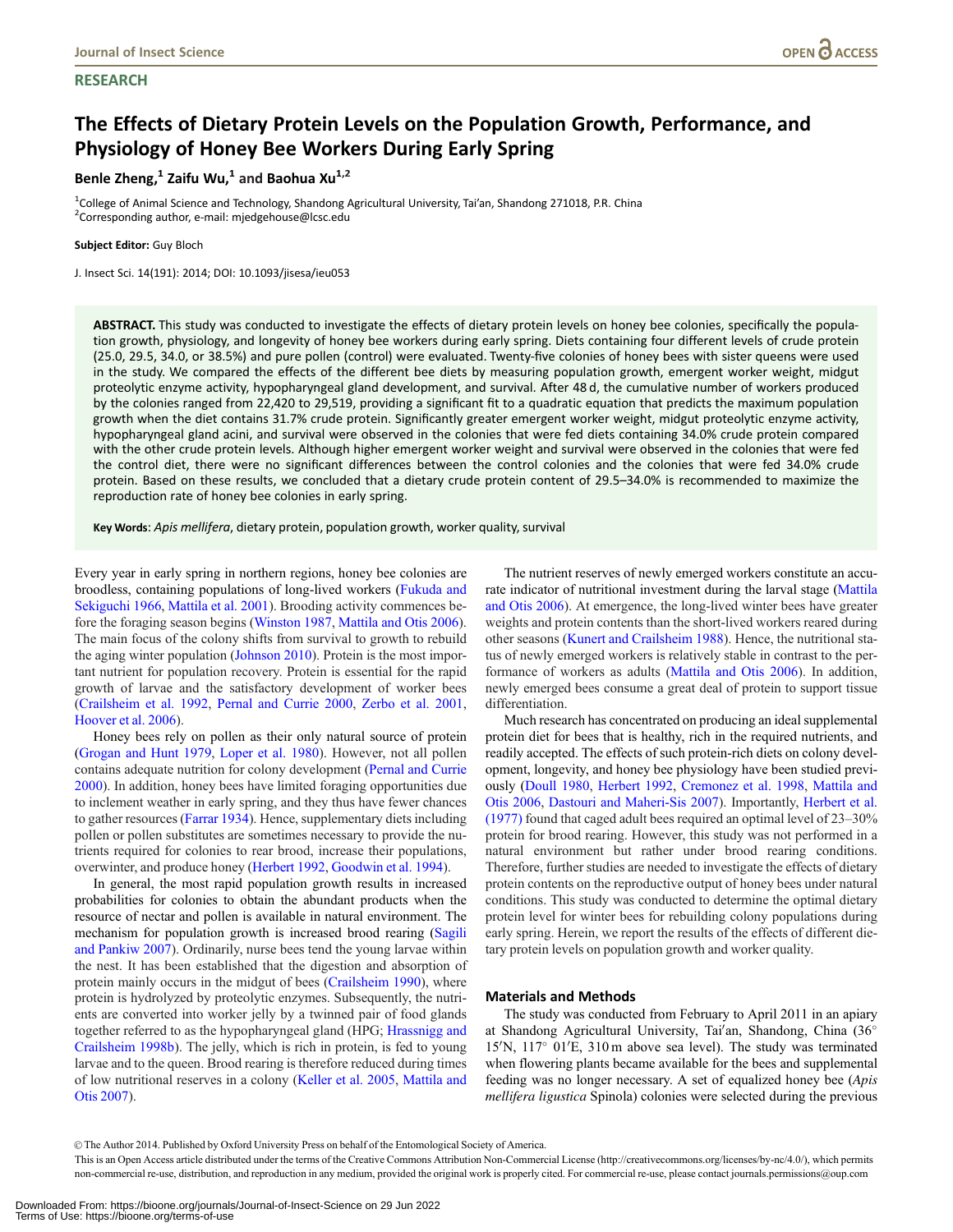# **RESEARCH**

# The Effects of Dietary Protein Levels on the Population Growth, Performance, and Physiology of Honey Bee Workers During Early Spring

Benle Zheng, $1$  Zaifu Wu, $1$  and Baohua Xu $1,2$ 

<sup>1</sup>College of Animal Science and Technology, Shandong Agricultural University, Tai'an, Shandong 271018, P.R. China <sup>2</sup>Corresponding author, e-mail: mjedgehouse@lcsc.edu

Subject Editor: Guy Bloch

J. Insect Sci. 14(191): 2014; DOI: 10.1093/jisesa/ieu053

ABSTRACT. This study was conducted to investigate the effects of dietary protein levels on honey bee colonies, specifically the population growth, physiology, and longevity of honey bee workers during early spring. Diets containing four different levels of crude protein (25.0, 29.5, 34.0, or 38.5%) and pure pollen (control) were evaluated. Twenty-five colonies of honey bees with sister queens were used in the study. We compared the effects of the different bee diets by measuring population growth, emergent worker weight, midgut proteolytic enzyme activity, hypopharyngeal gland development, and survival. After 48 d, the cumulative number of workers produced by the colonies ranged from 22,420 to 29,519, providing a significant fit to a quadratic equation that predicts the maximum population growth when the diet contains 31.7% crude protein. Significantly greater emergent worker weight, midgut proteolytic enzyme activity, hypopharyngeal gland acini, and survival were observed in the colonies that were fed diets containing 34.0% crude protein compared with the other crude protein levels. Although higher emergent worker weight and survival were observed in the colonies that were fed the control diet, there were no significant differences between the control colonies and the colonies that were fed 34.0% crude protein. Based on these results, we concluded that a dietary crude protein content of 29.5–34.0% is recommended to maximize the reproduction rate of honey bee colonies in early spring.

Key Words: Apis mellifera, dietary protein, population growth, worker quality, survival

Every year in early spring in northern regions, honey bee colonies are broodless, containing populations of long-lived workers [\(Fukuda and](#page-6-0) [Sekiguchi 1966,](#page-6-0) [Mattila et al. 2001\)](#page-6-0). Brooding activity commences before the foraging season begins [\(Winston 1987](#page-7-0), [Mattila and Otis 2006\)](#page-6-0). The main focus of the colony shifts from survival to growth to rebuild the aging winter population ([Johnson 2010](#page-6-0)). Protein is the most important nutrient for population recovery. Protein is essential for the rapid growth of larvae and the satisfactory development of worker bees ([Crailsheim et al. 1992,](#page-6-0) [Pernal and Currie 2000,](#page-6-0) [Zerbo et al. 2001,](#page-7-0) [Hoover et al. 2006](#page-6-0)).

Honey bees rely on pollen as their only natural source of protein ([Grogan and Hunt 1979,](#page-6-0) [Loper et al. 1980](#page-6-0)). However, not all pollen contains adequate nutrition for colony development [\(Pernal and Currie](#page-6-0) [2000\)](#page-6-0). In addition, honey bees have limited foraging opportunities due to inclement weather in early spring, and they thus have fewer chances to gather resources ([Farrar 1934\)](#page-6-0). Hence, supplementary diets including pollen or pollen substitutes are sometimes necessary to provide the nutrients required for colonies to rear brood, increase their populations, overwinter, and produce honey [\(Herbert 1992](#page-6-0), [Goodwin et al. 1994\)](#page-6-0).

In general, the most rapid population growth results in increased probabilities for colonies to obtain the abundant products when the resource of nectar and pollen is available in natural environment. The mechanism for population growth is increased brood rearing [\(Sagili](#page-6-0) [and Pankiw 2007](#page-6-0)). Ordinarily, nurse bees tend the young larvae within the nest. It has been established that the digestion and absorption of protein mainly occurs in the midgut of bees [\(Crailsheim 1990\)](#page-6-0), where protein is hydrolyzed by proteolytic enzymes. Subsequently, the nutrients are converted into worker jelly by a twinned pair of food glands together referred to as the hypopharyngeal gland (HPG; [Hrassnigg and](#page-6-0) [Crailsheim 1998b](#page-6-0)). The jelly, which is rich in protein, is fed to young larvae and to the queen. Brood rearing is therefore reduced during times of low nutritional reserves in a colony [\(Keller et al. 2005](#page-6-0), [Mattila and](#page-6-0) [Otis 2007\)](#page-6-0).

The nutrient reserves of newly emerged workers constitute an accurate indicator of nutritional investment during the larval stage [\(Mattila](#page-6-0) [and Otis 2006\)](#page-6-0). At emergence, the long-lived winter bees have greater weights and protein contents than the short-lived workers reared during other seasons [\(Kunert and Crailsheim 1988](#page-6-0)). Hence, the nutritional status of newly emerged workers is relatively stable in contrast to the performance of workers as adults ([Mattila and Otis 2006\)](#page-6-0). In addition, newly emerged bees consume a great deal of protein to support tissue differentiation.

Much research has concentrated on producing an ideal supplemental protein diet for bees that is healthy, rich in the required nutrients, and readily accepted. The effects of such protein-rich diets on colony development, longevity, and honey bee physiology have been studied previously [\(Doull 1980,](#page-6-0) [Herbert 1992,](#page-6-0) [Cremonez et al. 1998,](#page-6-0) [Mattila and](#page-6-0) [Otis 2006,](#page-6-0) [Dastouri and Maheri-Sis 2007\)](#page-6-0). Importantly, [Herbert et al.](#page-6-0) [\(1977\)](#page-6-0) found that caged adult bees required an optimal level of 23–30% protein for brood rearing. However, this study was not performed in a natural environment but rather under brood rearing conditions. Therefore, further studies are needed to investigate the effects of dietary protein contents on the reproductive output of honey bees under natural conditions. This study was conducted to determine the optimal dietary protein level for winter bees for rebuilding colony populations during early spring. Herein, we report the results of the effects of different dietary protein levels on population growth and worker quality.

# Materials and Methods

The study was conducted from February to April 2011 in an apiary at Shandong Agricultural University, Tai'an, Shandong, China (36° 15'N, 117° 01'E, 310 m above sea level). The study was terminated when flowering plants became available for the bees and supplemental feeding was no longer necessary. A set of equalized honey bee (Apis mellifera ligustica Spinola) colonies were selected during the previous

V<sup>C</sup> The Author 2014. Published by Oxford University Press on behalf of the Entomological Society of America.

This is an Open Access article distributed under the terms of the Creative Commons Attribution Non-Commercial License (http://creativecommons.org/licenses/by-nc/4.0/), which permits non-commercial re-use, distribution, and reproduction in any medium, provided the original work is properly cited. For commercial re-use, please contact journals.permissions@oup.com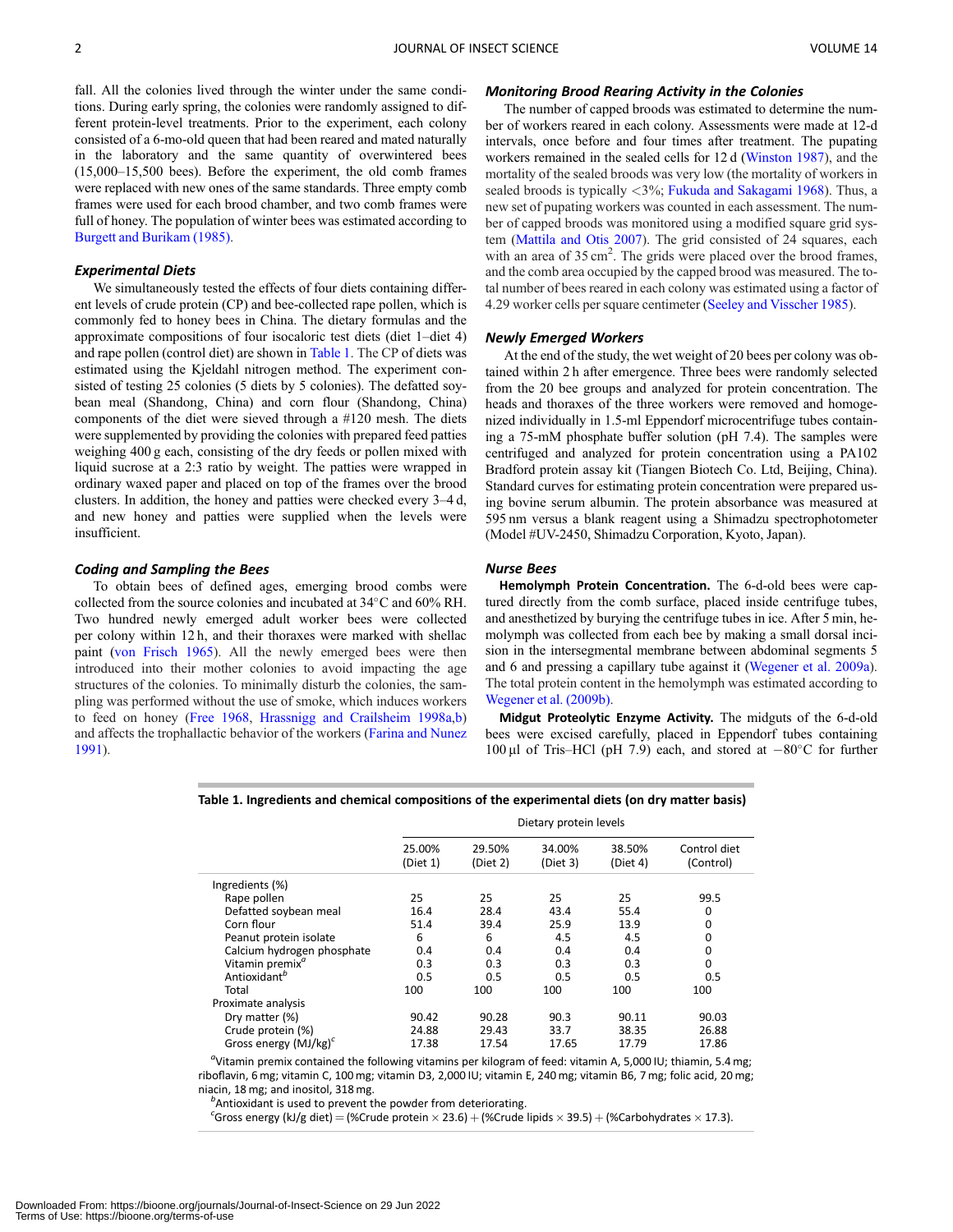fall. All the colonies lived through the winter under the same conditions. During early spring, the colonies were randomly assigned to different protein-level treatments. Prior to the experiment, each colony consisted of a 6-mo-old queen that had been reared and mated naturally in the laboratory and the same quantity of overwintered bees (15,000–15,500 bees). Before the experiment, the old comb frames were replaced with new ones of the same standards. Three empty comb frames were used for each brood chamber, and two comb frames were full of honey. The population of winter bees was estimated according to [Burgett and Burikam \(1985\).](#page-6-0)

#### Experimental Diets

We simultaneously tested the effects of four diets containing different levels of crude protein (CP) and bee-collected rape pollen, which is commonly fed to honey bees in China. The dietary formulas and the approximate compositions of four isocaloric test diets (diet 1–diet 4) and rape pollen (control diet) are shown in Table 1. The CP of diets was estimated using the Kjeldahl nitrogen method. The experiment consisted of testing 25 colonies (5 diets by 5 colonies). The defatted soybean meal (Shandong, China) and corn flour (Shandong, China) components of the diet were sieved through a #120 mesh. The diets were supplemented by providing the colonies with prepared feed patties weighing 400 g each, consisting of the dry feeds or pollen mixed with liquid sucrose at a 2:3 ratio by weight. The patties were wrapped in ordinary waxed paper and placed on top of the frames over the brood clusters. In addition, the honey and patties were checked every 3–4 d, and new honey and patties were supplied when the levels were insufficient.

#### Coding and Sampling the Bees

To obtain bees of defined ages, emerging brood combs were collected from the source colonies and incubated at 34°C and 60% RH. Two hundred newly emerged adult worker bees were collected per colony within 12 h, and their thoraxes were marked with shellac paint ([von Frisch 1965](#page-7-0)). All the newly emerged bees were then introduced into their mother colonies to avoid impacting the age structures of the colonies. To minimally disturb the colonies, the sampling was performed without the use of smoke, which induces workers to feed on honey ([Free 1968](#page-6-0), [Hrassnigg and Crailsheim 1998a](#page-6-0),[b](#page-6-0)) and affects the trophallactic behavior of the workers ([Farina and Nunez](#page-6-0) [1991\)](#page-6-0).

# Monitoring Brood Rearing Activity in the Colonies

The number of capped broods was estimated to determine the number of workers reared in each colony. Assessments were made at 12-d intervals, once before and four times after treatment. The pupating workers remained in the sealed cells for 12 d [\(Winston 1987\)](#page-7-0), and the mortality of the sealed broods was very low (the mortality of workers in sealed broods is typically <3%; [Fukuda and Sakagami 1968\)](#page-6-0). Thus, a new set of pupating workers was counted in each assessment. The number of capped broods was monitored using a modified square grid system [\(Mattila and Otis 2007\)](#page-6-0). The grid consisted of 24 squares, each with an area of 35 cm<sup>2</sup>. The grids were placed over the brood frames, and the comb area occupied by the capped brood was measured. The total number of bees reared in each colony was estimated using a factor of 4.29 worker cells per square centimeter ([Seeley and Visscher 1985](#page-6-0)).

#### Newly Emerged Workers

At the end of the study, the wet weight of 20 bees per colony was obtained within 2 h after emergence. Three bees were randomly selected from the 20 bee groups and analyzed for protein concentration. The heads and thoraxes of the three workers were removed and homogenized individually in 1.5-ml Eppendorf microcentrifuge tubes containing a 75-mM phosphate buffer solution (pH 7.4). The samples were centrifuged and analyzed for protein concentration using a PA102 Bradford protein assay kit (Tiangen Biotech Co. Ltd, Beijing, China). Standard curves for estimating protein concentration were prepared using bovine serum albumin. The protein absorbance was measured at 595 nm versus a blank reagent using a Shimadzu spectrophotometer (Model #UV-2450, Shimadzu Corporation, Kyoto, Japan).

# Nurse Bees

Hemolymph Protein Concentration. The 6-d-old bees were captured directly from the comb surface, placed inside centrifuge tubes, and anesthetized by burying the centrifuge tubes in ice. After 5 min, hemolymph was collected from each bee by making a small dorsal incision in the intersegmental membrane between abdominal segments 5 and 6 and pressing a capillary tube against it ([Wegener et al. 2009a\)](#page-7-0). The total protein content in the hemolymph was estimated according to [Wegener et al. \(2009b\)](#page-7-0).

Midgut Proteolytic Enzyme Activity. The midguts of the 6-d-old bees were excised carefully, placed in Eppendorf tubes containing 100 µl of Tris-HCl (pH 7.9) each, and stored at  $-80^{\circ}$ C for further

|                             | Dietary protein levels |                    |                    |                    |                           |
|-----------------------------|------------------------|--------------------|--------------------|--------------------|---------------------------|
|                             | 25.00%<br>(Diet 1)     | 29.50%<br>(Diet 2) | 34.00%<br>(Diet 3) | 38.50%<br>(Diet 4) | Control diet<br>(Control) |
| Ingredients (%)             |                        |                    |                    |                    |                           |
| Rape pollen                 | 25                     | 25                 | 25                 | 25                 | 99.5                      |
| Defatted soybean meal       | 16.4                   | 28.4               | 43.4               | 55.4               | 0                         |
| Corn flour                  | 51.4                   | 39.4               | 25.9               | 13.9               | 0                         |
| Peanut protein isolate      | 6                      | 6                  | 4.5                | 4.5                | 0                         |
| Calcium hydrogen phosphate  | 0.4                    | 0.4                | 0.4                | 0.4                | 0                         |
| Vitamin premix <sup>a</sup> | 0.3                    | 0.3                | 0.3                | 0.3                | 0                         |
| Antioxidant <sup>b</sup>    | 0.5                    | 0.5                | 0.5                | 0.5                | 0.5                       |
| Total                       | 100                    | 100                | 100                | 100                | 100                       |
| Proximate analysis          |                        |                    |                    |                    |                           |
| Dry matter (%)              | 90.42                  | 90.28              | 90.3               | 90.11              | 90.03                     |
| Crude protein (%)           | 24.88                  | 29.43              | 33.7               | 38.35              | 26.88                     |
| Gross energy $(MJ/kg)^c$    | 17.38                  | 17.54              | 17.65              | 17.79              | 17.86                     |

Table 1. Ingredients and chemical compositions of the experimental diets (on dry matter basis)

<sup>a</sup>Vitamin premix contained the following vitamins per kilogram of feed: vitamin A, 5,000 IU; thiamin, 5.4 mg; riboflavin, 6 mg; vitamin C, 100 mg; vitamin D3, 2,000 IU; vitamin E, 240 mg; vitamin B6, 7 mg; folic acid, 20 mg; niacin, 18 mg; and inositol, 318 mg. <sup>b</sup>

 $<sup>b</sup>$ Antioxidant is used to prevent the powder from deteriorating.</sup>

 $^c$ Gross energy (kJ/g diet) = (%Crude protein  $\times$  23.6) + (%Crude lipids  $\times$  39.5) + (%Carbohydrates  $\times$  17.3).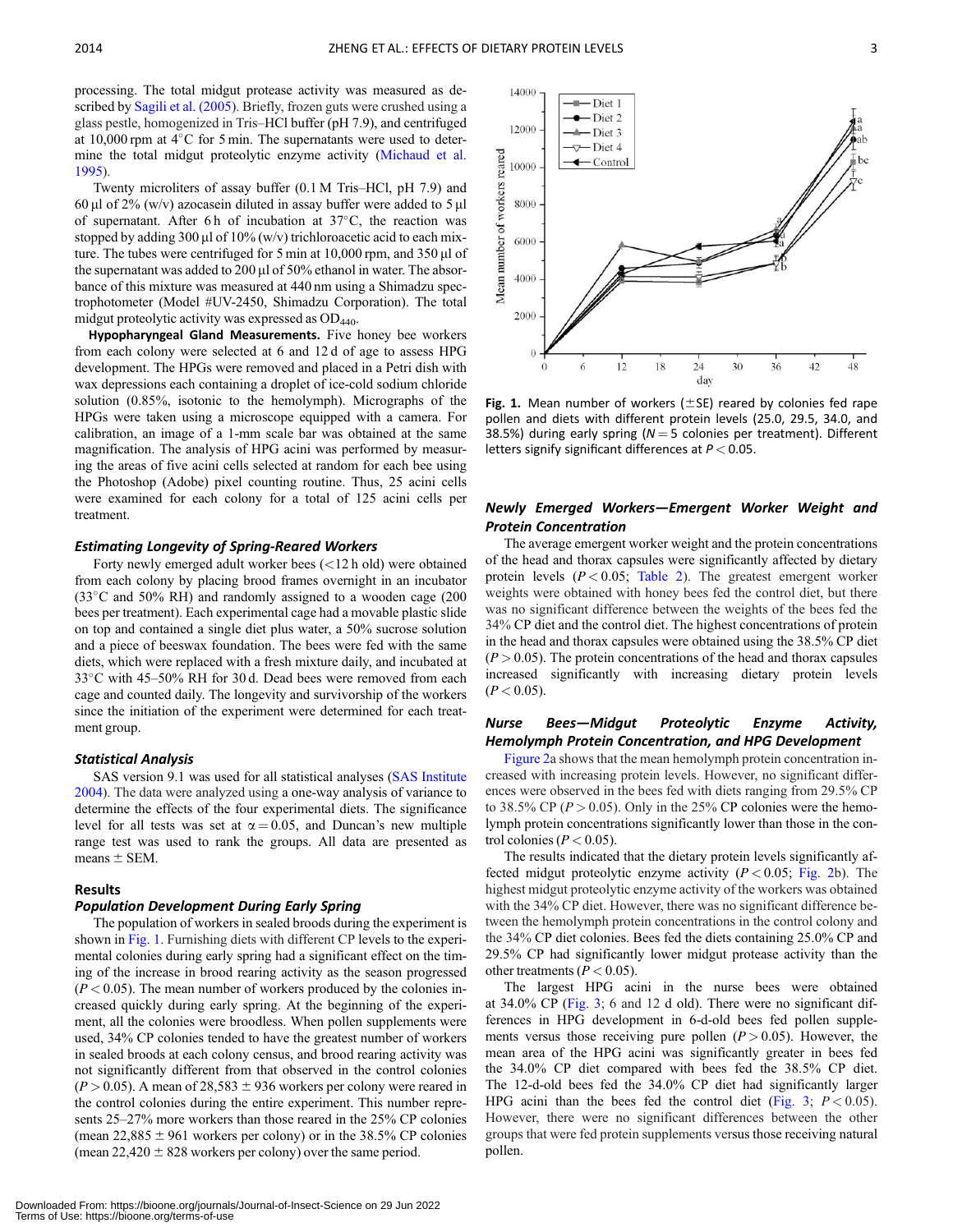processing. The total midgut protease activity was measured as described by [Sagili et al. \(2005\).](#page-6-0) Briefly, frozen guts were crushed using a glass pestle, homogenized in Tris–HCl buffer (pH 7.9), and centrifuged at 10,000 rpm at  $4^{\circ}$ C for 5 min. The supernatants were used to determine the total midgut proteolytic enzyme activity [\(Michaud et al.](#page-6-0) [1995\)](#page-6-0).

Twenty microliters of assay buffer (0.1 M Tris–HCl, pH 7.9) and 60 µl of 2% (w/v) azocasein diluted in assay buffer were added to 5 µl of supernatant. After 6h of incubation at 37°C, the reaction was stopped by adding 300 µl of  $10\%$  (w/v) trichloroacetic acid to each mixture. The tubes were centrifuged for 5 min at  $10,000$  rpm, and  $350 \mu$ l of the supernatant was added to 200  $\mu$ l of 50% ethanol in water. The absorbance of this mixture was measured at 440 nm using a Shimadzu spectrophotometer (Model #UV-2450, Shimadzu Corporation). The total midgut proteolytic activity was expressed as  $OD<sub>440</sub>$ .

Hypopharyngeal Gland Measurements. Five honey bee workers from each colony were selected at 6 and 12 d of age to assess HPG development. The HPGs were removed and placed in a Petri dish with wax depressions each containing a droplet of ice-cold sodium chloride solution (0.85%, isotonic to the hemolymph). Micrographs of the HPGs were taken using a microscope equipped with a camera. For calibration, an image of a 1-mm scale bar was obtained at the same magnification. The analysis of HPG acini was performed by measuring the areas of five acini cells selected at random for each bee using the Photoshop (Adobe) pixel counting routine. Thus, 25 acini cells were examined for each colony for a total of 125 acini cells per treatment.

#### Estimating Longevity of Spring-Reared Workers

Forty newly emerged adult worker bees (<12 h old) were obtained from each colony by placing brood frames overnight in an incubator (33°C and 50% RH) and randomly assigned to a wooden cage (200 bees per treatment). Each experimental cage had a movable plastic slide on top and contained a single diet plus water, a 50% sucrose solution and a piece of beeswax foundation. The bees were fed with the same diets, which were replaced with a fresh mixture daily, and incubated at 33°C with 45-50% RH for 30 d. Dead bees were removed from each cage and counted daily. The longevity and survivorship of the workers since the initiation of the experiment were determined for each treatment group.

# Statistical Analysis

SAS version 9.1 was used for all statistical analyses [\(SAS Institute](#page-6-0) [2004\)](#page-6-0). The data were analyzed using a one-way analysis of variance to determine the effects of the four experimental diets. The significance level for all tests was set at  $\alpha = 0.05$ , and Duncan's new multiple range test was used to rank the groups. All data are presented as means  $\pm$  SEM.

#### Results

#### Population Development During Early Spring

The population of workers in sealed broods during the experiment is shown in Fig. 1. Furnishing diets with different CP levels to the experimental colonies during early spring had a significant effect on the timing of the increase in brood rearing activity as the season progressed  $(P < 0.05)$ . The mean number of workers produced by the colonies increased quickly during early spring. At the beginning of the experiment, all the colonies were broodless. When pollen supplements were used, 34% CP colonies tended to have the greatest number of workers in sealed broods at each colony census, and brood rearing activity was not significantly different from that observed in the control colonies  $(P > 0.05)$ . A mean of 28,583 ± 936 workers per colony were reared in the control colonies during the entire experiment. This number represents 25–27% more workers than those reared in the 25% CP colonies (mean  $22,885 \pm 961$  workers per colony) or in the 38.5% CP colonies (mean  $22,420 \pm 828$  workers per colony) over the same period.



Fig. 1. Mean number of workers ( $\pm$ SE) reared by colonies fed rape pollen and diets with different protein levels (25.0, 29.5, 34.0, and 38.5%) during early spring ( $N = 5$  colonies per treatment). Different letters signify significant differences at  $P < 0.05$ .

# Newly Emerged Workers—Emergent Worker Weight and Protein Concentration

The average emergent worker weight and the protein concentrations of the head and thorax capsules were significantly affected by dietary protein levels  $(P < 0.05$ ; [Table 2\)](#page-4-0). The greatest emergent worker weights were obtained with honey bees fed the control diet, but there was no significant difference between the weights of the bees fed the 34% CP diet and the control diet. The highest concentrations of protein in the head and thorax capsules were obtained using the 38.5% CP diet  $(P > 0.05)$ . The protein concentrations of the head and thorax capsules increased significantly with increasing dietary protein levels  $(P < 0.05)$ .

# Nurse Bees—Midgut Proteolytic Enzyme Activity, Hemolymph Protein Concentration, and HPG Development

[Figure 2a](#page-4-0) shows that the mean hemolymph protein concentration increased with increasing protein levels. However, no significant differences were observed in the bees fed with diets ranging from 29.5% CP to 38.5% CP ( $P > 0.05$ ). Only in the 25% CP colonies were the hemolymph protein concentrations significantly lower than those in the control colonies ( $P < 0.05$ ).

The results indicated that the dietary protein levels significantly affected midgut proteolytic enzyme activity  $(P < 0.05;$  [Fig. 2](#page-4-0)b). The highest midgut proteolytic enzyme activity of the workers was obtained with the 34% CP diet. However, there was no significant difference between the hemolymph protein concentrations in the control colony and the 34% CP diet colonies. Bees fed the diets containing 25.0% CP and 29.5% CP had significantly lower midgut protease activity than the other treatments ( $P < 0.05$ ).

The largest HPG acini in the nurse bees were obtained at 34.0% CP ([Fig. 3](#page-4-0); 6 and 12 d old). There were no significant differences in HPG development in 6-d-old bees fed pollen supplements versus those receiving pure pollen ( $P > 0.05$ ). However, the mean area of the HPG acini was significantly greater in bees fed the 34.0% CP diet compared with bees fed the 38.5% CP diet. The 12-d-old bees fed the 34.0% CP diet had significantly larger HPG acini than the bees fed the control diet ([Fig. 3](#page-4-0);  $P < 0.05$ ). However, there were no significant differences between the other groups that were fed protein supplements versus those receiving natural pollen.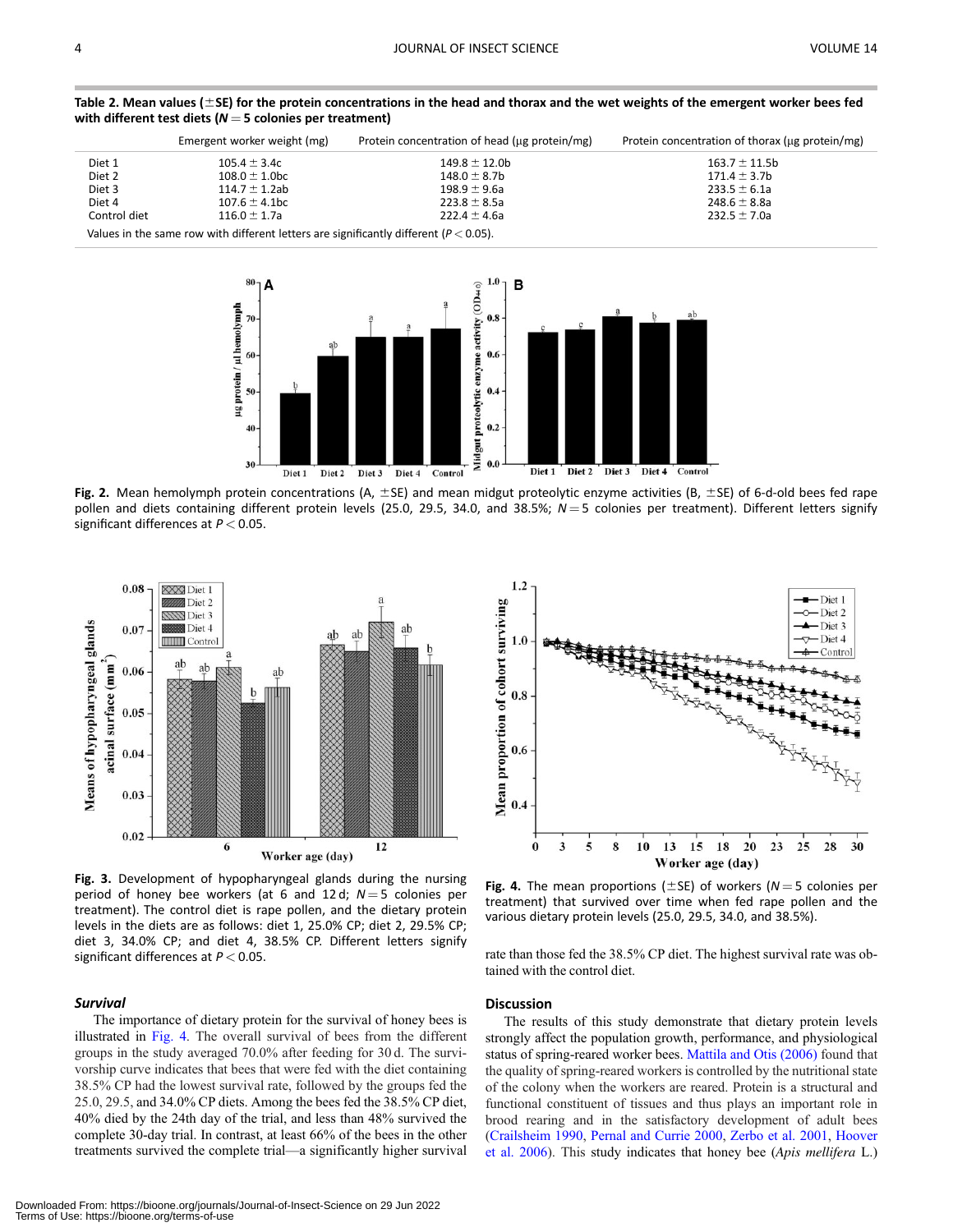|              | Emergent worker weight (mg) | Protein concentration of head (ug protein/mg) | Protein concentration of thorax (ug protein/mg) |
|--------------|-----------------------------|-----------------------------------------------|-------------------------------------------------|
| Diet 1       | $105.4 \pm 3.4c$            | $149.8 \pm 12.0$ b                            | $163.7 \pm 11.5b$                               |
| Diet 2       | $108.0 \pm 1.0$ bc          | $148.0 \pm 8.7$ b                             | $171.4 \pm 3.7b$                                |
| Diet 3       | $114.7 \pm 1.2$ ab          | $198.9 \pm 9.6a$                              | $233.5 \pm 6.1a$                                |
| Diet 4       | $107.6 \pm 4.1$ bc          | $223.8 \pm 8.5$ a                             | 248.6 $\pm$ 8.8a                                |
| Control diet | $116.0 \pm 1.7$ a           | $222.4 \pm 4.6a$                              | $232.5 \pm 7.0a$                                |
|              |                             |                                               |                                                 |

<span id="page-4-0"></span>Table 2. Mean values ( $\pm$ SE) for the protein concentrations in the head and thorax and the wet weights of the emergent worker bees fed with different test diets ( $N = 5$  colonies per treatment)

Values in the same row with different letters are significantly different ( $P < 0.05$ ).



Fig. 2. Mean hemolymph protein concentrations (A,  $\pm$ SE) and mean midgut proteolytic enzyme activities (B,  $\pm$ SE) of 6-d-old bees fed rape pollen and diets containing different protein levels (25.0, 29.5, 34.0, and 38.5%;  $N=5$  colonies per treatment). Different letters signify significant differences at  $P < 0.05$ .



Fig. 3. Development of hypopharyngeal glands during the nursing period of honey bee workers (at 6 and 12 d;  $N = 5$  colonies per treatment). The control diet is rape pollen, and the dietary protein levels in the diets are as follows: diet 1, 25.0% CP; diet 2, 29.5% CP; diet 3, 34.0% CP; and diet 4, 38.5% CP. Different letters signify significant differences at  $P < 0.05$ .

#### **Survival**

The importance of dietary protein for the survival of honey bees is illustrated in Fig. 4. The overall survival of bees from the different groups in the study averaged 70.0% after feeding for 30 d. The survivorship curve indicates that bees that were fed with the diet containing 38.5% CP had the lowest survival rate, followed by the groups fed the 25.0, 29.5, and 34.0% CP diets. Among the bees fed the 38.5% CP diet, 40% died by the 24th day of the trial, and less than 48% survived the complete 30-day trial. In contrast, at least 66% of the bees in the other treatments survived the complete trial—a significantly higher survival



Fig. 4. The mean proportions ( $\pm$ SE) of workers (N = 5 colonies per treatment) that survived over time when fed rape pollen and the various dietary protein levels (25.0, 29.5, 34.0, and 38.5%).

rate than those fed the 38.5% CP diet. The highest survival rate was obtained with the control diet.

#### **Discussion**

The results of this study demonstrate that dietary protein levels strongly affect the population growth, performance, and physiological status of spring-reared worker bees. [Mattila and Otis \(2006\)](#page-6-0) found that the quality of spring-reared workers is controlled by the nutritional state of the colony when the workers are reared. Protein is a structural and functional constituent of tissues and thus plays an important role in brood rearing and in the satisfactory development of adult bees ([Crailsheim 1990,](#page-6-0) [Pernal and Currie 2000](#page-6-0), [Zerbo et al. 2001](#page-7-0), [Hoover](#page-6-0) [et al. 2006\)](#page-6-0). This study indicates that honey bee (Apis mellifera L.)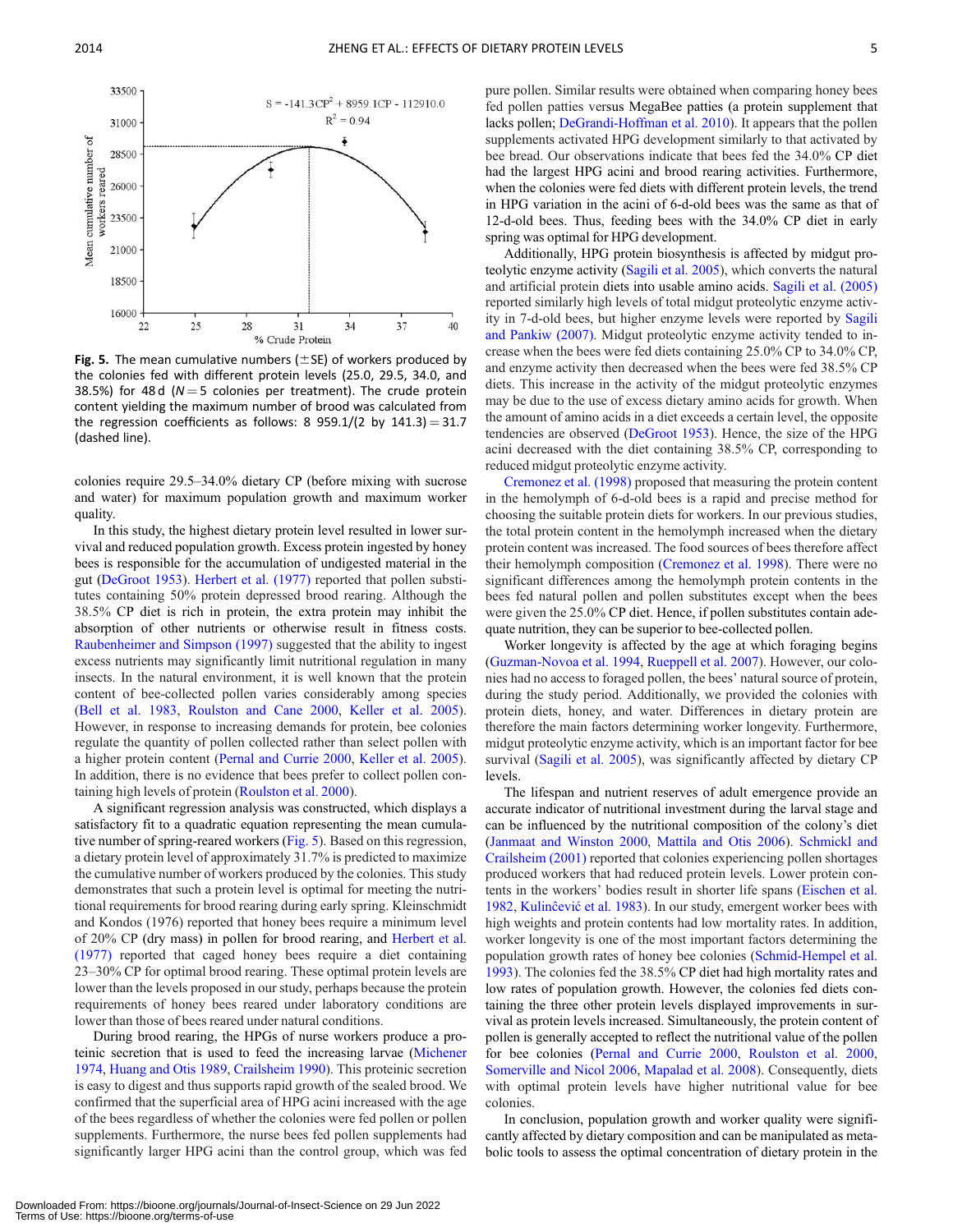



Fig. 5. The mean cumulative numbers ( $\pm$ SE) of workers produced by the colonies fed with different protein levels (25.0, 29.5, 34.0, and 38.5%) for 48 d ( $N = 5$  colonies per treatment). The crude protein content yielding the maximum number of brood was calculated from the regression coefficients as follows: 8 959.1/(2 by 141.3) = 31.7 (dashed line).

colonies require 29.5–34.0% dietary CP (before mixing with sucrose and water) for maximum population growth and maximum worker quality.

In this study, the highest dietary protein level resulted in lower survival and reduced population growth. Excess protein ingested by honey bees is responsible for the accumulation of undigested material in the gut [\(DeGroot 1953](#page-6-0)). [Herbert et al. \(1977\)](#page-6-0) reported that pollen substitutes containing 50% protein depressed brood rearing. Although the 38.5% CP diet is rich in protein, the extra protein may inhibit the absorption of other nutrients or otherwise result in fitness costs. [Raubenheimer and Simpson \(1997\)](#page-6-0) suggested that the ability to ingest excess nutrients may significantly limit nutritional regulation in many insects. In the natural environment, it is well known that the protein content of bee-collected pollen varies considerably among species ([Bell et al. 1983,](#page-6-0) [Roulston and Cane 2000,](#page-6-0) [Keller et al. 2005\)](#page-6-0). However, in response to increasing demands for protein, bee colonies regulate the quantity of pollen collected rather than select pollen with a higher protein content ([Pernal and Currie 2000,](#page-6-0) [Keller et al. 2005\)](#page-6-0). In addition, there is no evidence that bees prefer to collect pollen containing high levels of protein ([Roulston et al. 2000\)](#page-6-0).

A significant regression analysis was constructed, which displays a satisfactory fit to a quadratic equation representing the mean cumulative number of spring-reared workers (Fig. 5). Based on this regression, a dietary protein level of approximately 31.7% is predicted to maximize the cumulative number of workers produced by the colonies. This study demonstrates that such a protein level is optimal for meeting the nutritional requirements for brood rearing during early spring. Kleinschmidt and Kondos (1976) reported that honey bees require a minimum level of 20% CP (dry mass) in pollen for brood rearing, and [Herbert et al.](#page-6-0) [\(1977\)](#page-6-0) reported that caged honey bees require a diet containing 23–30% CP for optimal brood rearing. These optimal protein levels are lower than the levels proposed in our study, perhaps because the protein requirements of honey bees reared under laboratory conditions are lower than those of bees reared under natural conditions.

During brood rearing, the HPGs of nurse workers produce a proteinic secretion that is used to feed the increasing larvae ([Michener](#page-6-0) [1974,](#page-6-0) [Huang and Otis 1989,](#page-6-0) [Crailsheim 1990](#page-6-0)). This proteinic secretion is easy to digest and thus supports rapid growth of the sealed brood. We confirmed that the superficial area of HPG acini increased with the age of the bees regardless of whether the colonies were fed pollen or pollen supplements. Furthermore, the nurse bees fed pollen supplements had significantly larger HPG acini than the control group, which was fed

pure pollen. Similar results were obtained when comparing honey bees fed pollen patties versus MegaBee patties (a protein supplement that lacks pollen; [DeGrandi-Hoffman et al. 2010\)](#page-6-0). It appears that the pollen supplements activated HPG development similarly to that activated by bee bread. Our observations indicate that bees fed the 34.0% CP diet had the largest HPG acini and brood rearing activities. Furthermore, when the colonies were fed diets with different protein levels, the trend in HPG variation in the acini of 6-d-old bees was the same as that of 12-d-old bees. Thus, feeding bees with the 34.0% CP diet in early spring was optimal for HPG development.

Additionally, HPG protein biosynthesis is affected by midgut proteolytic enzyme activity [\(Sagili et al. 2005\)](#page-6-0), which converts the natural and artificial protein diets into usable amino acids. [Sagili et al. \(2005\)](#page-6-0) reported similarly high levels of total midgut proteolytic enzyme activity in 7-d-old bees, but higher enzyme levels were reported by [Sagili](#page-6-0) [and Pankiw \(2007\)](#page-6-0). Midgut proteolytic enzyme activity tended to increase when the bees were fed diets containing 25.0% CP to 34.0% CP, and enzyme activity then decreased when the bees were fed 38.5% CP diets. This increase in the activity of the midgut proteolytic enzymes may be due to the use of excess dietary amino acids for growth. When the amount of amino acids in a diet exceeds a certain level, the opposite tendencies are observed [\(DeGroot 1953\)](#page-6-0). Hence, the size of the HPG acini decreased with the diet containing 38.5% CP, corresponding to reduced midgut proteolytic enzyme activity.

[Cremonez et al. \(1998\)](#page-6-0) proposed that measuring the protein content in the hemolymph of 6-d-old bees is a rapid and precise method for choosing the suitable protein diets for workers. In our previous studies, the total protein content in the hemolymph increased when the dietary protein content was increased. The food sources of bees therefore affect their hemolymph composition [\(Cremonez et al. 1998\)](#page-6-0). There were no significant differences among the hemolymph protein contents in the bees fed natural pollen and pollen substitutes except when the bees were given the 25.0% CP diet. Hence, if pollen substitutes contain adequate nutrition, they can be superior to bee-collected pollen.

Worker longevity is affected by the age at which foraging begins ([Guzman-Novoa et al. 1994](#page-6-0), [Rueppell et al. 2007\)](#page-6-0). However, our colonies had no access to foraged pollen, the bees' natural source of protein, during the study period. Additionally, we provided the colonies with protein diets, honey, and water. Differences in dietary protein are therefore the main factors determining worker longevity. Furthermore, midgut proteolytic enzyme activity, which is an important factor for bee survival ([Sagili et al. 2005](#page-6-0)), was significantly affected by dietary CP levels.

The lifespan and nutrient reserves of adult emergence provide an accurate indicator of nutritional investment during the larval stage and can be influenced by the nutritional composition of the colony's diet ([Janmaat and Winston 2000](#page-6-0), [Mattila and Otis 2006\)](#page-6-0). [Schmickl and](#page-6-0) [Crailsheim \(2001\)](#page-6-0) reported that colonies experiencing pollen shortages produced workers that had reduced protein levels. Lower protein contents in the workers' bodies result in shorter life spans [\(Eischen et al.](#page-6-0) [1982](#page-6-0), Kulincevic et al. 1983). In our study, emergent worker bees with high weights and protein contents had low mortality rates. In addition, worker longevity is one of the most important factors determining the population growth rates of honey bee colonies [\(Schmid-Hempel et al.](#page-6-0) [1993](#page-6-0)). The colonies fed the 38.5% CP diet had high mortality rates and low rates of population growth. However, the colonies fed diets containing the three other protein levels displayed improvements in survival as protein levels increased. Simultaneously, the protein content of pollen is generally accepted to reflect the nutritional value of the pollen for bee colonies [\(Pernal and Currie 2000,](#page-6-0) [Roulston et al. 2000,](#page-6-0) [Somerville and Nicol 2006](#page-6-0), [Mapalad et al. 2008](#page-6-0)). Consequently, diets with optimal protein levels have higher nutritional value for bee colonies.

In conclusion, population growth and worker quality were significantly affected by dietary composition and can be manipulated as metabolic tools to assess the optimal concentration of dietary protein in the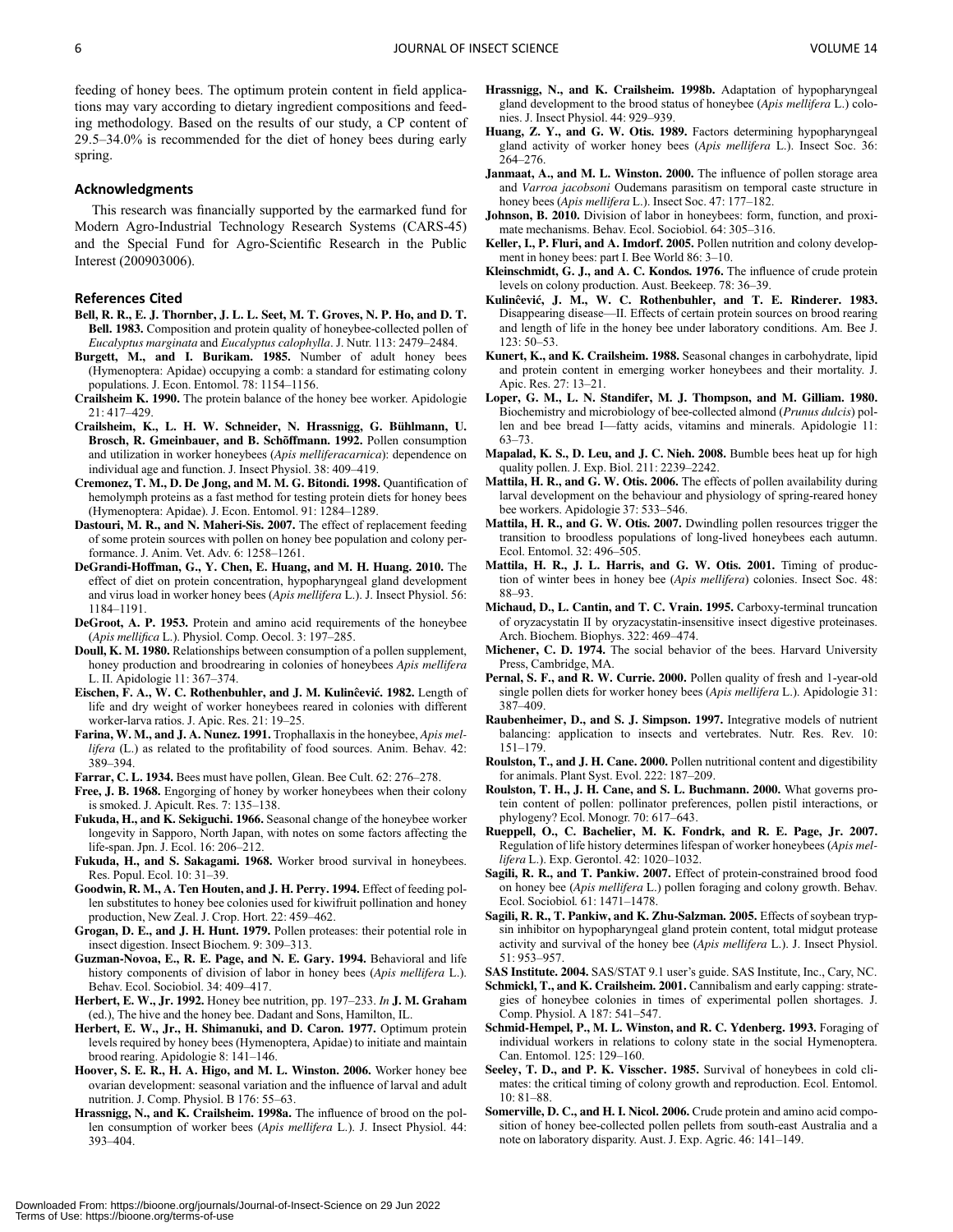<span id="page-6-0"></span>feeding of honey bees. The optimum protein content in field applications may vary according to dietary ingredient compositions and feeding methodology. Based on the results of our study, a CP content of 29.5–34.0% is recommended for the diet of honey bees during early spring.

# Acknowledgments

This research was financially supported by the earmarked fund for Modern Agro-Industrial Technology Research Systems (CARS-45) and the Special Fund for Agro-Scientific Research in the Public Interest (200903006).

#### References Cited

- Bell, R. R., E. J. Thornber, J. L. L. Seet, M. T. Groves, N. P. Ho, and D. T. Bell. 1983. Composition and protein quality of honeybee-collected pollen of Eucalyptus marginata and Eucalyptus calophylla. J. Nutr. 113: 2479–2484.
- Burgett, M., and I. Burikam. 1985. Number of adult honey bees (Hymenoptera: Apidae) occupying a comb: a standard for estimating colony populations. J. Econ. Entomol. 78: 1154–1156.
- Crailsheim K. 1990. The protein balance of the honey bee worker. Apidologie 21: 417–429.
- Crailsheim, K., L. H. W. Schneider, N. Hrassnigg, G. Bühlmann, U. Brosch, R. Gmeinbauer, and B. Schöffmann. 1992. Pollen consumption and utilization in worker honeybees (Apis melliferacarnica): dependence on individual age and function. J. Insect Physiol. 38: 409–419.
- Cremonez, T. M., D. De Jong, and M. M. G. Bitondi. 1998. Quantification of hemolymph proteins as a fast method for testing protein diets for honey bees (Hymenoptera: Apidae). J. Econ. Entomol. 91: 1284–1289.
- Dastouri, M. R., and N. Maheri-Sis. 2007. The effect of replacement feeding of some protein sources with pollen on honey bee population and colony performance. J. Anim. Vet. Adv. 6: 1258–1261.
- DeGrandi-Hoffman, G., Y. Chen, E. Huang, and M. H. Huang. 2010. The effect of diet on protein concentration, hypopharyngeal gland development and virus load in worker honey bees (Apis mellifera L.). J. Insect Physiol. 56: 1184–1191.
- DeGroot, A. P. 1953. Protein and amino acid requirements of the honeybee (Apis mellifica L.). Physiol. Comp. Oecol. 3: 197–285.
- Doull, K. M. 1980. Relationships between consumption of a pollen supplement, honey production and broodrearing in colonies of honeybees Apis mellifera L. II. Apidologie 11: 367–374.
- Eischen, F. A., W. C. Rothenbuhler, and J. M. Kulincevic. 1982. Length of life and dry weight of worker honeybees reared in colonies with different worker-larva ratios. J. Apic. Res. 21: 19–25.
- Farina, W. M., and J. A. Nunez. 1991. Trophallaxis in the honeybee, Apis mellifera (L.) as related to the profitability of food sources. Anim. Behav. 42: 389–394.
- Farrar, C. L. 1934. Bees must have pollen, Glean. Bee Cult. 62: 276–278.
- Free, J. B. 1968. Engorging of honey by worker honeybees when their colony is smoked. J. Apicult. Res. 7: 135–138.
- Fukuda, H., and K. Sekiguchi. 1966. Seasonal change of the honeybee worker longevity in Sapporo, North Japan, with notes on some factors affecting the life-span. Jpn. J. Ecol. 16: 206–212.
- Fukuda, H., and S. Sakagami. 1968. Worker brood survival in honeybees. Res. Popul. Ecol. 10: 31–39.
- Goodwin, R. M., A. Ten Houten, and J. H. Perry. 1994. Effect of feeding pollen substitutes to honey bee colonies used for kiwifruit pollination and honey production, New Zeal. J. Crop. Hort. 22: 459–462.
- Grogan, D. E., and J. H. Hunt. 1979. Pollen proteases: their potential role in insect digestion. Insect Biochem. 9: 309–313.
- Guzman-Novoa, E., R. E. Page, and N. E. Gary. 1994. Behavioral and life history components of division of labor in honey bees (Apis mellifera L.). Behav. Ecol. Sociobiol. 34: 409–417.
- Herbert, E. W., Jr. 1992. Honey bee nutrition, pp. 197-233. In J. M. Graham (ed.), The hive and the honey bee. Dadant and Sons, Hamilton, IL.
- Herbert, E. W., Jr., H. Shimanuki, and D. Caron. 1977. Optimum protein levels required by honey bees (Hymenoptera, Apidae) to initiate and maintain brood rearing. Apidologie 8: 141–146.
- Hoover, S. E. R., H. A. Higo, and M. L. Winston. 2006. Worker honey bee ovarian development: seasonal variation and the influence of larval and adult nutrition. J. Comp. Physiol. B 176: 55–63.
- Hrassnigg, N., and K. Crailsheim. 1998a. The influence of brood on the pollen consumption of worker bees (Apis mellifera L.). J. Insect Physiol. 44: 393–404.
- Hrassnigg, N., and K. Crailsheim. 1998b. Adaptation of hypopharyngeal gland development to the brood status of honeybee (Apis mellifera L.) colonies. J. Insect Physiol. 44: 929–939.
- Huang, Z. Y., and G. W. Otis. 1989. Factors determining hypopharyngeal gland activity of worker honey bees (Apis mellifera L.). Insect Soc. 36: 264–276.
- Janmaat, A., and M. L. Winston. 2000. The influence of pollen storage area and Varroa jacobsoni Oudemans parasitism on temporal caste structure in honey bees (Apis mellifera L.). Insect Soc. 47: 177–182.
- Johnson, B. 2010. Division of labor in honeybees: form, function, and proximate mechanisms. Behav. Ecol. Sociobiol. 64: 305–316.
- Keller. I., P. Fluri, and A. Imdorf. 2005. Pollen nutrition and colony development in honey bees: part I. Bee World 86: 3–10.
- Kleinschmidt, G. J., and A. C. Kondos. 1976. The influence of crude protein levels on colony production. Aust. Beekeep. 78: 36–39.
- Kulincevic, J. M., W. C. Rothenbuhler, and T. E. Rinderer. 1983. Disappearing disease—II. Effects of certain protein sources on brood rearing and length of life in the honey bee under laboratory conditions. Am. Bee J. 123: 50–53.
- Kunert, K., and K. Crailsheim. 1988. Seasonal changes in carbohydrate, lipid and protein content in emerging worker honeybees and their mortality. J. Apic. Res. 27: 13–21.
- Loper, G. M., L. N. Standifer, M. J. Thompson, and M. Gilliam. 1980. Biochemistry and microbiology of bee-collected almond (Prunus dulcis) pollen and bee bread I—fatty acids, vitamins and minerals. Apidologie 11: 63–73.
- Mapalad, K. S., D. Leu, and J. C. Nieh. 2008. Bumble bees heat up for high quality pollen. J. Exp. Biol. 211: 2239–2242.
- Mattila, H. R., and G. W. Otis. 2006. The effects of pollen availability during larval development on the behaviour and physiology of spring-reared honey bee workers. Apidologie 37: 533–546.
- Mattila, H. R., and G. W. Otis. 2007. Dwindling pollen resources trigger the transition to broodless populations of long-lived honeybees each autumn. Ecol. Entomol. 32: 496–505.
- Mattila, H. R., J. L. Harris, and G. W. Otis. 2001. Timing of production of winter bees in honey bee (Apis mellifera) colonies. Insect Soc. 48: 88–93.
- Michaud, D., L. Cantin, and T. C. Vrain. 1995. Carboxy-terminal truncation of oryzacystatin II by oryzacystatin-insensitive insect digestive proteinases. Arch. Biochem. Biophys. 322: 469–474.
- Michener, C. D. 1974. The social behavior of the bees. Harvard University Press, Cambridge, MA.
- Pernal, S. F., and R. W. Currie. 2000. Pollen quality of fresh and 1-year-old single pollen diets for worker honey bees (Apis mellifera L.). Apidologie 31: 387–409.
- Raubenheimer, D., and S. J. Simpson. 1997. Integrative models of nutrient balancing: application to insects and vertebrates. Nutr. Res. Rev. 10: 151–179.
- Roulston, T., and J. H. Cane. 2000. Pollen nutritional content and digestibility for animals. Plant Syst. Evol. 222: 187–209.
- Roulston, T. H., J. H. Cane, and S. L. Buchmann. 2000. What governs protein content of pollen: pollinator preferences, pollen pistil interactions, or phylogeny? Ecol. Monogr. 70: 617–643.
- Rueppell, O., C. Bachelier, M. K. Fondrk, and R. E. Page, Jr. 2007. Regulation of life history determines lifespan of worker honeybees (Apis mellifera L.). Exp. Gerontol. 42: 1020–1032.
- Sagili, R. R., and T. Pankiw. 2007. Effect of protein-constrained brood food on honey bee (Apis mellifera L.) pollen foraging and colony growth. Behav. Ecol. Sociobiol. 61: 1471–1478.
- Sagili, R. R., T. Pankiw, and K. Zhu-Salzman. 2005. Effects of soybean trypsin inhibitor on hypopharyngeal gland protein content, total midgut protease activity and survival of the honey bee (Apis mellifera L.). J. Insect Physiol. 51: 953–957.

SAS Institute. 2004. SAS/STAT 9.1 user's guide. SAS Institute, Inc., Cary, NC.

- Schmickl, T., and K. Crailsheim. 2001. Cannibalism and early capping: strategies of honeybee colonies in times of experimental pollen shortages. J. Comp. Physiol. A 187: 541–547.
- Schmid-Hempel, P., M. L. Winston, and R. C. Ydenberg. 1993. Foraging of individual workers in relations to colony state in the social Hymenoptera. Can. Entomol. 125: 129–160.
- Seeley, T. D., and P. K. Visscher. 1985. Survival of honeybees in cold climates: the critical timing of colony growth and reproduction. Ecol. Entomol. 10: 81–88.
- Somerville, D. C., and H. I. Nicol. 2006. Crude protein and amino acid composition of honey bee-collected pollen pellets from south-east Australia and a note on laboratory disparity. Aust. J. Exp. Agric. 46: 141–149.